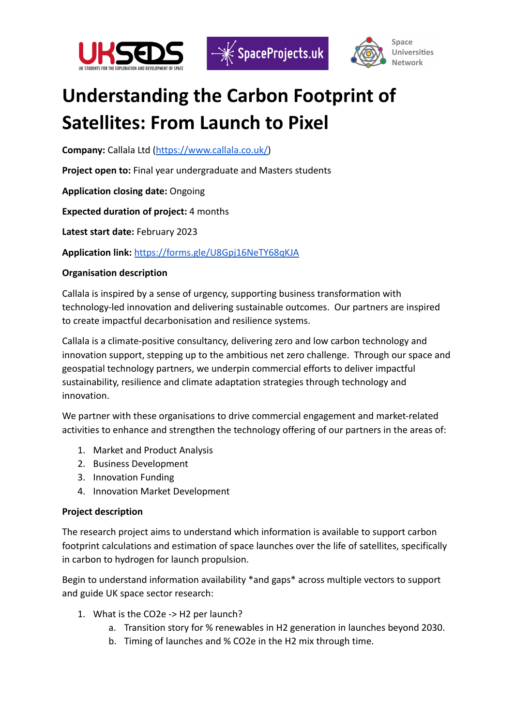





## **Understanding the Carbon Footprint of Satellites: From Launch to Pixel**

**Company:** Callala Ltd ([https://www.callala.co.uk/\)](https://www.callala.co.uk/)

**Project open to:** Final year undergraduate and Masters students

**Application closing date:** Ongoing

**Expected duration of project:** 4 months

**Latest start date:** February 2023

**Application link:** <https://forms.gle/U8Gpj16NeTY68qKJA>

## **Organisation description**

Callala is inspired by a sense of urgency, supporting business transformation with technology-led innovation and delivering sustainable outcomes. Our partners are inspired to create impactful decarbonisation and resilience systems.

Callala is a climate-positive consultancy, delivering zero and low carbon technology and innovation support, stepping up to the ambitious net zero challenge. Through our space and geospatial technology partners, we underpin commercial efforts to deliver impactful sustainability, resilience and climate adaptation strategies through technology and innovation.

We partner with these organisations to drive commercial engagement and market-related activities to enhance and strengthen the technology offering of our partners in the areas of:

- 1. Market and Product Analysis
- 2. Business Development
- 3. Innovation Funding
- 4. Innovation Market Development

## **Project description**

The research project aims to understand which information is available to support carbon footprint calculations and estimation of space launches over the life of satellites, specifically in carbon to hydrogen for launch propulsion.

Begin to understand information availability \*and gaps\* across multiple vectors to support and guide UK space sector research:

- 1. What is the CO2e -> H2 per launch?
	- a. Transition story for % renewables in H2 generation in launches beyond 2030.
	- b. Timing of launches and % CO2e in the H2 mix through time.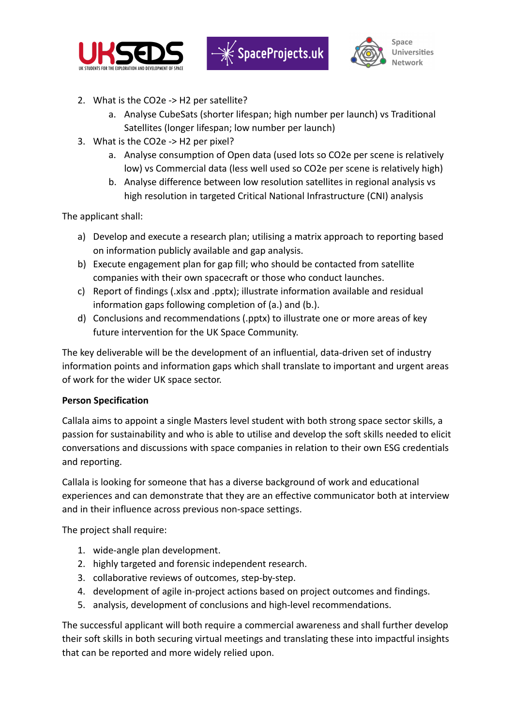



- 2. What is the CO2e -> H2 per satellite?
	- a. Analyse CubeSats (shorter lifespan; high number per launch) vs Traditional Satellites (longer lifespan; low number per launch)
- 3. What is the CO2e -> H2 per pixel?
	- a. Analyse consumption of Open data (used lots so CO2e per scene is relatively low) vs Commercial data (less well used so CO2e per scene is relatively high)
	- b. Analyse difference between low resolution satellites in regional analysis vs high resolution in targeted Critical National Infrastructure (CNI) analysis

The applicant shall:

- a) Develop and execute a research plan; utilising a matrix approach to reporting based on information publicly available and gap analysis.
- b) Execute engagement plan for gap fill; who should be contacted from satellite companies with their own spacecraft or those who conduct launches.
- c) Report of findings (.xlsx and .pptx); illustrate information available and residual information gaps following completion of (a.) and (b.).
- d) Conclusions and recommendations (.pptx) to illustrate one or more areas of key future intervention for the UK Space Community.

The key deliverable will be the development of an influential, data-driven set of industry information points and information gaps which shall translate to important and urgent areas of work for the wider UK space sector.

## **Person Specification**

Callala aims to appoint a single Masters level student with both strong space sector skills, a passion for sustainability and who is able to utilise and develop the soft skills needed to elicit conversations and discussions with space companies in relation to their own ESG credentials and reporting.

Callala is looking for someone that has a diverse background of work and educational experiences and can demonstrate that they are an effective communicator both at interview and in their influence across previous non-space settings.

The project shall require:

- 1. wide-angle plan development.
- 2. highly targeted and forensic independent research.
- 3. collaborative reviews of outcomes, step-by-step.
- 4. development of agile in-project actions based on project outcomes and findings.
- 5. analysis, development of conclusions and high-level recommendations.

The successful applicant will both require a commercial awareness and shall further develop their soft skills in both securing virtual meetings and translating these into impactful insights that can be reported and more widely relied upon.